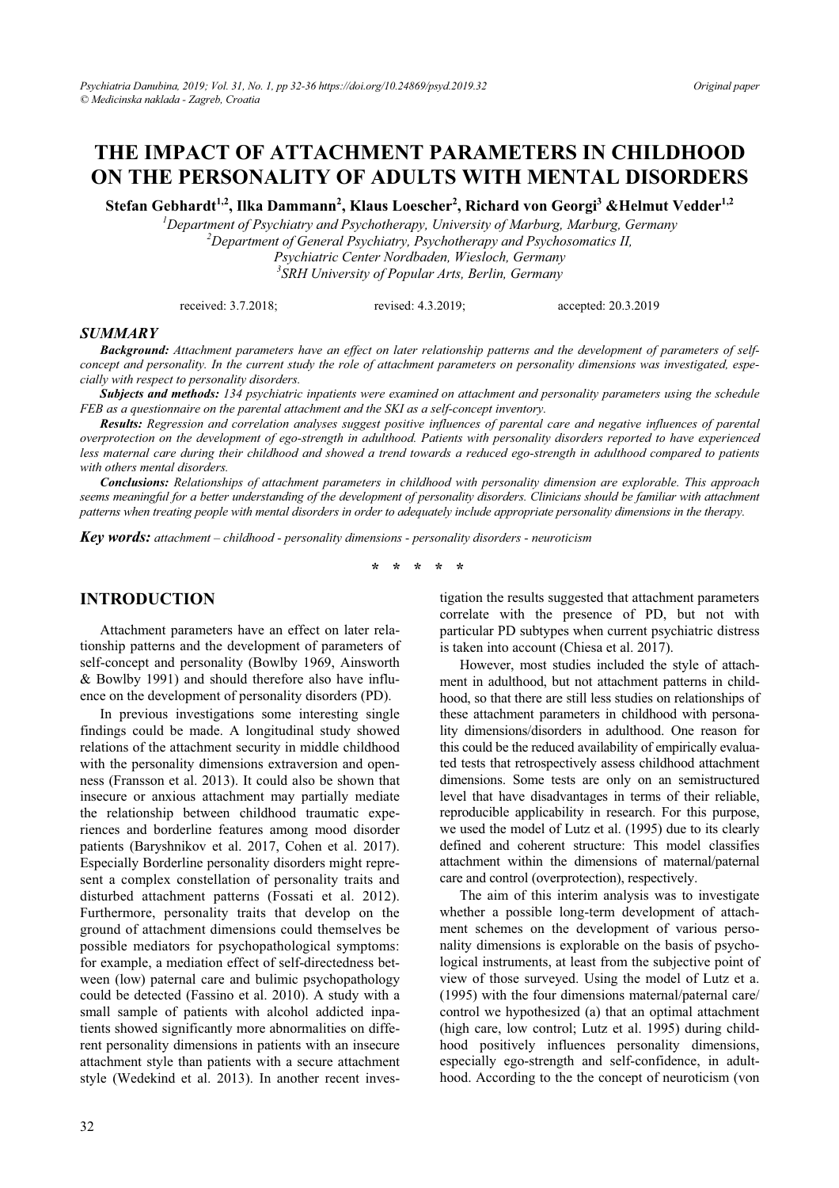# **THE IMPACT OF ATTACHMENT PARAMETERS IN CHILDHOOD ON THE PERSONALITY OF ADULTS WITH MENTAL DISORDERS**

 $\text{Stefan} \text{ Gebhardt}^{1,2}, \text{Ilka} \text{ Dammann}^2, \text{Klaus Loescher}^2, \text{Richard von Georgi}^3 \text{ ÆHelmut Vedder}^{1,2}$ 

<sup>1</sup> Department of Psychiatry and Psychotherapy, University of Marburg, Marburg, Germany <sup>2</sup> Department of Canaval Poughattan, Boughathayany and Poughassmatics II *Department of General Psychiatry, Psychotherapy and Psychosomatics II, Psychiatric Center Nordbaden, Wiesloch, Germany 3 SRH University of Popular Arts, Berlin, Germany* 

received: 3.7.2018; revised: 4.3.2019; accepted: 20.3.2019

#### *SUMMARY*

*Background: Attachment parameters have an effect on later relationship patterns and the development of parameters of selfconcept and personality. In the current study the role of attachment parameters on personality dimensions was investigated, especially with respect to personality disorders.* 

*Subjects and methods: 134 psychiatric inpatients were examined on attachment and personality parameters using the schedule FEB as a questionnaire on the parental attachment and the SKI as a self-concept inventory.* 

*Results: Regression and correlation analyses suggest positive influences of parental care and negative influences of parental overprotection on the development of ego-strength in adulthood. Patients with personality disorders reported to have experienced* less maternal care during their childhood and showed a trend towards a reduced ego-strength in adulthood compared to patients *with others mental disorders.* 

*Conclusions: Relationships of attachment parameters in childhood with personality dimension are explorable. This approach seems meaningful for a better understanding of the development of personality disorders. Clinicians should be familiar with attachment patterns when treating people with mental disorders in order to adequately include appropriate personality dimensions in the therapy.*

*Key words: attachment – childhood - personality dimensions - personality disorders - neuroticism* 

**\* \* \* \* \*** 

### **INTRODUCTION**

Attachment parameters have an effect on later relationship patterns and the development of parameters of self-concept and personality (Bowlby 1969, Ainsworth & Bowlby 1991) and should therefore also have influence on the development of personality disorders (PD).

In previous investigations some interesting single findings could be made. A longitudinal study showed relations of the attachment security in middle childhood with the personality dimensions extraversion and openness (Fransson et al. 2013). It could also be shown that insecure or anxious attachment may partially mediate the relationship between childhood traumatic experiences and borderline features among mood disorder patients (Baryshnikov et al. 2017, Cohen et al. 2017). Especially Borderline personality disorders might represent a complex constellation of personality traits and disturbed attachment patterns (Fossati et al. 2012). Furthermore, personality traits that develop on the ground of attachment dimensions could themselves be possible mediators for psychopathological symptoms: for example, a mediation effect of self-directedness between (low) paternal care and bulimic psychopathology could be detected (Fassino et al. 2010). A study with a small sample of patients with alcohol addicted inpatients showed significantly more abnormalities on different personality dimensions in patients with an insecure attachment style than patients with a secure attachment style (Wedekind et al. 2013). In another recent investigation the results suggested that attachment parameters correlate with the presence of PD, but not with particular PD subtypes when current psychiatric distress is taken into account (Chiesa et al. 2017).

However, most studies included the style of attachment in adulthood, but not attachment patterns in childhood, so that there are still less studies on relationships of these attachment parameters in childhood with personality dimensions/disorders in adulthood. One reason for this could be the reduced availability of empirically evaluated tests that retrospectively assess childhood attachment dimensions. Some tests are only on an semistructured level that have disadvantages in terms of their reliable, reproducible applicability in research. For this purpose, we used the model of Lutz et al. (1995) due to its clearly defined and coherent structure: This model classifies attachment within the dimensions of maternal/paternal care and control (overprotection), respectively.

The aim of this interim analysis was to investigate whether a possible long-term development of attachment schemes on the development of various personality dimensions is explorable on the basis of psychological instruments, at least from the subjective point of view of those surveyed. Using the model of Lutz et a. (1995) with the four dimensions maternal/paternal care/ control we hypothesized (a) that an optimal attachment (high care, low control; Lutz et al. 1995) during childhood positively influences personality dimensions, especially ego-strength and self-confidence, in adulthood. According to the the concept of neuroticism (von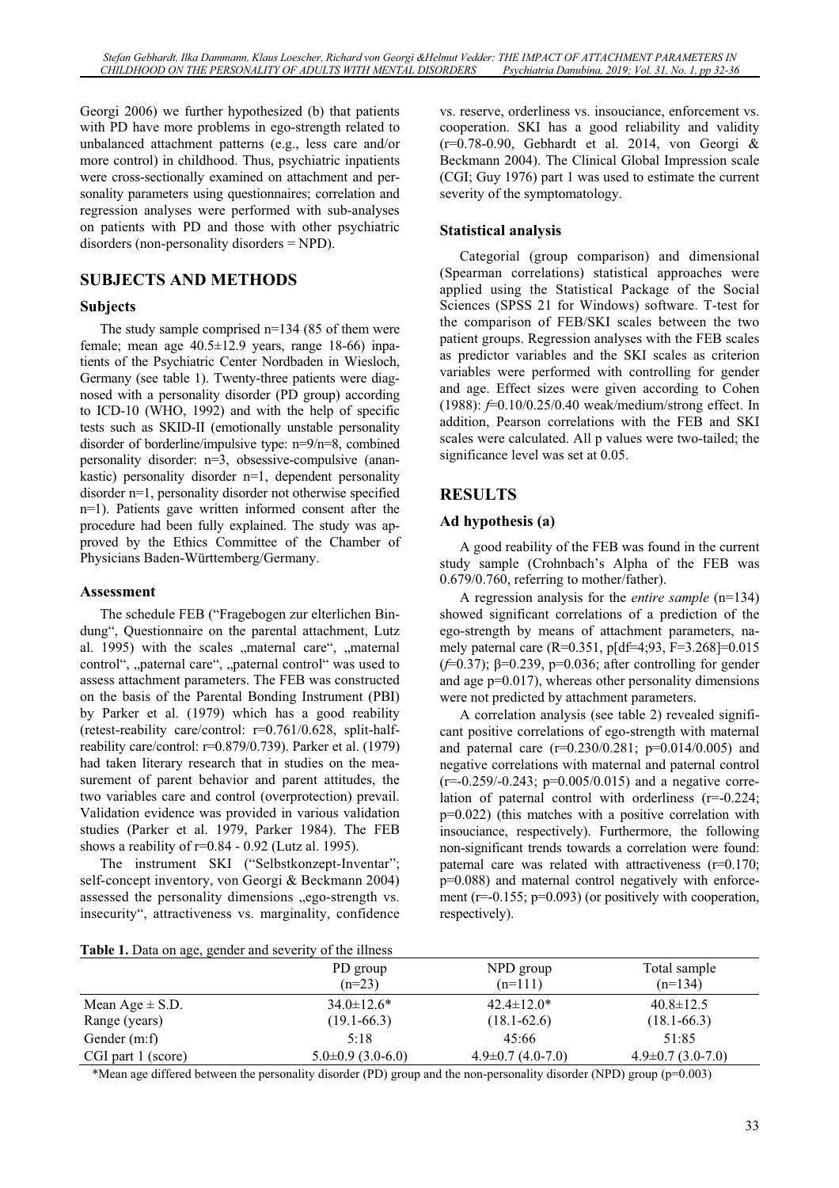Georgi 2006) we further hypothesized (b) that patients with PD have more problems in ego-strength related to unbalanced attachment patterns (e.g., less care and/or more control) in childhood. Thus, psychiatric inpatients were cross-sectionally examined on attachment and personality parameters using questionnaires; correlation and regression analyses were performed with sub-analyses on patients with PD and those with other psychiatric disorders (non-personality disorders = NPD).

### **SUBJECTS AND METHODS**

### **Subjects**

The study sample comprised n=134 (85 of them were female; mean age 40.5±12.9 years, range 18-66) inpatients of the Psychiatric Center Nordbaden in Wiesloch, Germany (see table 1). Twenty-three patients were diagnosed with a personality disorder (PD group) according to ICD-10 (WHO, 1992) and with the help of specific tests such as SKID-II (emotionally unstable personality disorder of borderline/impulsive type: n=9/n=8, combined personality disorder: n=3, obsessive-compulsive (anankastic) personality disorder n=1, dependent personality disorder n=1, personality disorder not otherwise specified n=1). Patients gave written informed consent after the procedure had been fully explained. The study was approved by the Ethics Committee of the Chamber of Physicians Baden-Württemberg/Germany.

#### **Assessment**

The schedule FEB ("Fragebogen zur elterlichen Bindung", Questionnaire on the parental attachment, Lutz al. 1995) with the scales "maternal care", "maternal control", "paternal care", "paternal control" was used to assess attachment parameters. The FEB was constructed on the basis of the Parental Bonding Instrument (PBI) by Parker et al. (1979) which has a good reability (retest-reability care/control: r=0.761/0.628, split-halfreability care/control: r=0.879/0.739). Parker et al. (1979) had taken literary research that in studies on the measurement of parent behavior and parent attitudes, the two variables care and control (overprotection) prevail. Validation evidence was provided in various validation studies (Parker et al. 1979, Parker 1984). The FEB shows a reability of  $r=0.84 - 0.92$  (Lutz al. 1995).

The instrument SKI ("Selbstkonzept-Inventar"; self-concept inventory, von Georgi & Beckmann 2004) assessed the personality dimensions "ego-strength vs. insecurity", attractiveness vs. marginality, confidence

vs. reserve, orderliness vs. insouciance, enforcement vs. cooperation. SKI has a good reliability and validity (r=0.78-0.90, Gebhardt et al. 2014, von Georgi & Beckmann 2004). The Clinical Global Impression scale (CGI; Guy 1976) part 1 was used to estimate the current severity of the symptomatology.

### **Statistical analysis**

Categorial (group comparison) and dimensional (Spearman correlations) statistical approaches were applied using the Statistical Package of the Social Sciences (SPSS 21 for Windows) software. T-test for the comparison of FEB/SKI scales between the two patient groups. Regression analyses with the FEB scales as predictor variables and the SKI scales as criterion variables were performed with controlling for gender and age. Effect sizes were given according to Cohen (1988): *f*=0.10/0.25/0.40 weak/medium/strong effect. In addition, Pearson correlations with the FEB and SKI scales were calculated. All p values were two-tailed; the significance level was set at 0.05.

### **RESULTS**

### **Ad hypothesis (a)**

A good reability of the FEB was found in the current study sample (Crohnbach's Alpha of the FEB was 0.679/0.760, referring to mother/father).

A regression analysis for the *entire sample* (n=134) showed significant correlations of a prediction of the ego-strength by means of attachment parameters, namely paternal care (R=0.351, p[df=4;93, F=3.268]=0.015  $(f=0.37)$ ;  $\beta=0.239$ ,  $p=0.036$ ; after controlling for gender and age p=0.017), whereas other personality dimensions were not predicted by attachment parameters.

A correlation analysis (see table 2) revealed significant positive correlations of ego-strength with maternal and paternal care (r=0.230/0.281; p=0.014/0.005) and negative correlations with maternal and paternal control  $(r=-0.259/-0.243; p=0.005/0.015)$  and a negative correlation of paternal control with orderliness (r=-0.224; p=0.022) (this matches with a positive correlation with insouciance, respectively). Furthermore, the following non-significant trends towards a correlation were found: paternal care was related with attractiveness (r=0.170; p=0.088) and maternal control negatively with enforcement  $(r=0.155; p=0.093)$  (or positively with cooperation, respectively).

| Table 1. Data on age, gender and severity of the illness |  |  |  |
|----------------------------------------------------------|--|--|--|
|----------------------------------------------------------|--|--|--|

| Twore If Built on age, genuer and severity of the milless | PD group<br>$(n=23)$  | NPD group<br>$(n=111)$  | Total sample<br>$(n=134)$ |
|-----------------------------------------------------------|-----------------------|-------------------------|---------------------------|
| Mean Age $\pm$ S.D.                                       | $34.0 \pm 12.6^*$     | $42.4 \pm 12.0*$        | $40.8 \pm 12.5$           |
| Range (years)                                             | $(19.1 - 66.3)$       | $(18.1 - 62.6)$         | $(18.1 - 66.3)$           |
| Gender (m:f)                                              | 5:18                  | 45:66                   | 51:85                     |
| CGI part 1 (score)                                        | $5.0\pm0.9$ (3.0-6.0) | $4.9 \pm 0.7$ (4.0-7.0) | $4.9\pm0.7(3.0-7.0)$      |

\*Mean age differed between the personality disorder (PD) group and the non-personality disorder (NPD) group (p=0.003)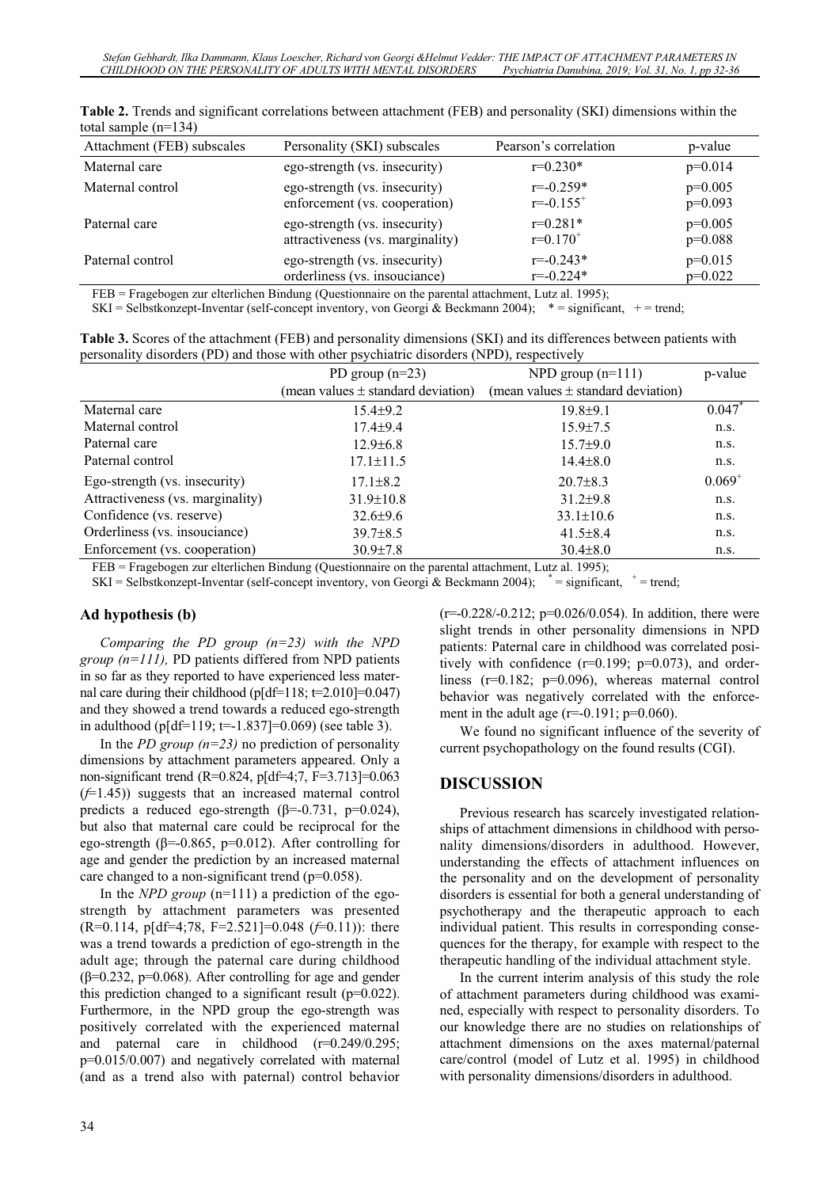| Attachment (FEB) subscales                                                                           | Personality (SKI) subscales                                       | Pearson's correlation           | p-value                |
|------------------------------------------------------------------------------------------------------|-------------------------------------------------------------------|---------------------------------|------------------------|
| Maternal care                                                                                        | ego-strength (vs. insecurity)                                     | $r=0.230*$                      | $p=0.014$              |
| Maternal control                                                                                     | ego-strength (vs. insecurity)<br>enforcement (vs. cooperation)    | $r = -0.259*$<br>$r=-0.155^{+}$ | $p=0.005$<br>$p=0.093$ |
| Paternal care                                                                                        | ego-strength (vs. insecurity)<br>attractiveness (vs. marginality) | $r=0.281*$<br>$r=0.170^{+}$     | $p=0.005$<br>$p=0.088$ |
| Paternal control                                                                                     | ego-strength (vs. insecurity)<br>orderliness (vs. insouciance)    | $r = -0.243*$<br>$r = -0.224*$  | $p=0.015$<br>$p=0.022$ |
| $FFR = Fraoehogen$ zur elterlichen Bindung (Questionnaire on the parental attachment Lutz al. 1995): |                                                                   |                                 |                        |

**Table 2.** Trends and significant correlations between attachment (FEB) and personality (SKI) dimensions within the total sample (n=134)

ogen zur elterlichen Bindung (Questionnaire on the parental attachment, Lutz al. 1995

SKI = Selbstkonzept-Inventar (self-concept inventory, von Georgi & Beckmann 2004);  $* =$  significant,  $+ =$  trend;

**Table 3.** Scores of the attachment (FEB) and personality dimensions (SKI) and its differences between patients with personality disorders (PD) and those with other psychiatric disorders (NPD), respectively

|                                  | PD group $(n=23)$                      | NPD group $(n=111)$                    | p-value     |
|----------------------------------|----------------------------------------|----------------------------------------|-------------|
|                                  | (mean values $\pm$ standard deviation) | (mean values $\pm$ standard deviation) |             |
| Maternal care                    | $15.4 \pm 9.2$                         | $19.8 + 9.1$                           | 0.047       |
| Maternal control                 | $17.4 \pm 9.4$                         | $15.9 \pm 7.5$                         | n.s.        |
| Paternal care                    | $12.9 \pm 6.8$                         | $15.7 \pm 9.0$                         | n.s.        |
| Paternal control                 | $17.1 \pm 11.5$                        | $14.4 \pm 8.0$                         | n.s.        |
| Ego-strength (vs. insecurity)    | $17.1 \pm 8.2$                         | $20.7\pm8.3$                           | $0.069^{+}$ |
| Attractiveness (vs. marginality) | $31.9 \pm 10.8$                        | $31.2 \pm 9.8$                         | n.s.        |
| Confidence (vs. reserve)         | $32.6 \pm 9.6$                         | $33.1 \pm 10.6$                        | n.s.        |
| Orderliness (vs. insouciance)    | $39.7\pm8.5$                           | $41.5 \pm 8.4$                         | n.s.        |
| Enforcement (vs. cooperation)    | $30.9 \pm 7.8$                         | $30.4 \pm 8.0$                         | n.s.        |

FEB = Fragebogen zur elterlichen Bindung (Questionnaire on the parental attachment, Lutz al. 1995);

 $SKI = Selbstkonzept-Inventar (self-concept inventory, von Georgi & Beckmann 2004);$ <sup>\*</sup> = significant, <sup>+</sup> = trend;

#### **Ad hypothesis (b)**

*Comparing the PD group (n=23) with the NPD group (n=111),* PD patients differed from NPD patients in so far as they reported to have experienced less maternal care during their childhood ( $p[df=118; t=2.010] = 0.047$ ) and they showed a trend towards a reduced ego-strength in adulthood (p[df=119; t=-1.837]=0.069) (see table 3).

In the *PD group (n=23)* no prediction of personality dimensions by attachment parameters appeared. Only a non-significant trend (R=0.824, p[df=4;7, F=3.713]=0.063 (*f*=1.45)) suggests that an increased maternal control predicts a reduced ego-strength  $(\beta=-0.731, p=0.024)$ , but also that maternal care could be reciprocal for the ego-strength ( $\beta$ =-0.865, p=0.012). After controlling for age and gender the prediction by an increased maternal care changed to a non-significant trend ( $p=0.058$ ).

In the *NPD group* (n=111) a prediction of the egostrength by attachment parameters was presented (R=0.114, p[df=4;78, F=2.521]=0.048 (*f*=0.11)): there was a trend towards a prediction of ego-strength in the adult age; through the paternal care during childhood ( $\beta$ =0.232, p=0.068). After controlling for age and gender this prediction changed to a significant result ( $p=0.022$ ). Furthermore, in the NPD group the ego-strength was positively correlated with the experienced maternal and paternal care in childhood (r=0.249/0.295; p=0.015/0.007) and negatively correlated with maternal (and as a trend also with paternal) control behavior  $(r=-0.228/-0.212; p=0.026/0.054)$ . In addition, there were slight trends in other personality dimensions in NPD patients: Paternal care in childhood was correlated positively with confidence  $(r=0.199; p=0.073)$ , and orderliness (r=0.182; p=0.096), whereas maternal control behavior was negatively correlated with the enforcement in the adult age ( $r=0.191$ ;  $p=0.060$ ).

We found no significant influence of the severity of current psychopathology on the found results (CGI).

#### **DISCUSSION**

Previous research has scarcely investigated relationships of attachment dimensions in childhood with personality dimensions/disorders in adulthood. However, understanding the effects of attachment influences on the personality and on the development of personality disorders is essential for both a general understanding of psychotherapy and the therapeutic approach to each individual patient. This results in corresponding consequences for the therapy, for example with respect to the therapeutic handling of the individual attachment style.

In the current interim analysis of this study the role of attachment parameters during childhood was examined, especially with respect to personality disorders. To our knowledge there are no studies on relationships of attachment dimensions on the axes maternal/paternal care/control (model of Lutz et al. 1995) in childhood with personality dimensions/disorders in adulthood.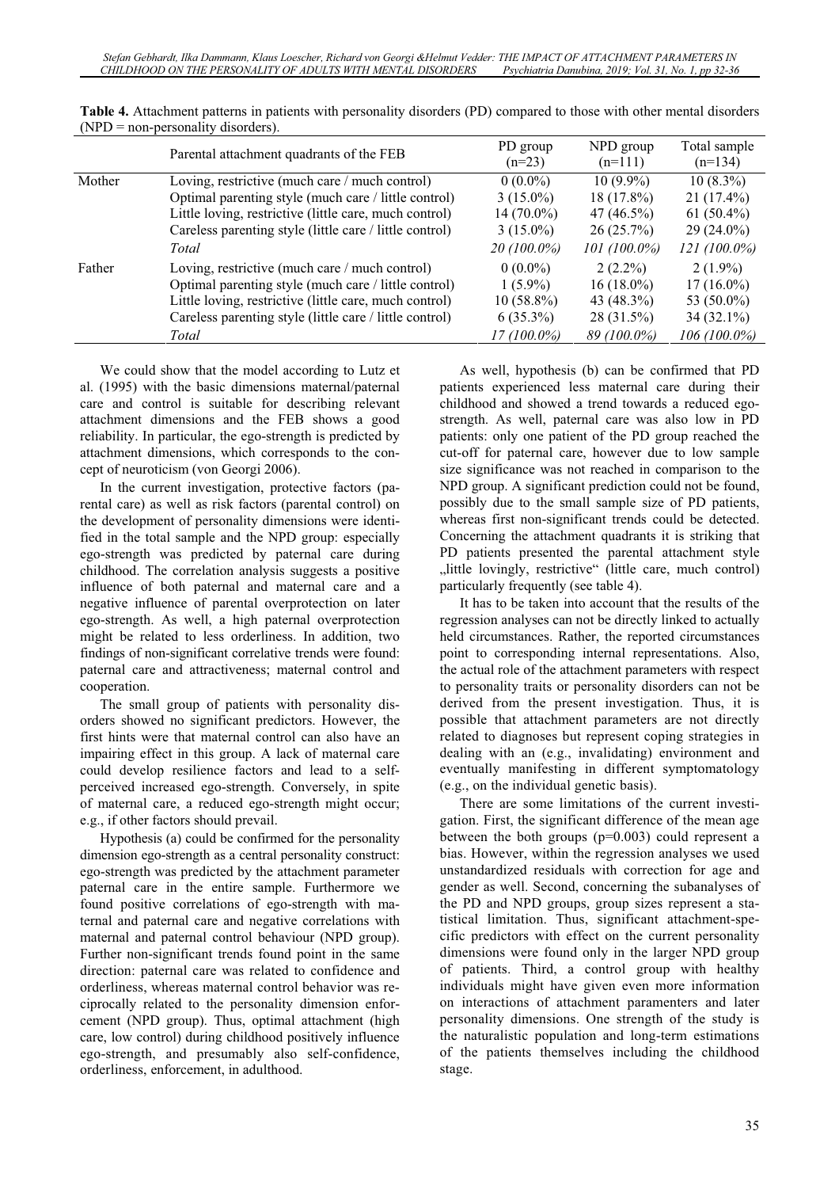|        | Parental attachment quadrants of the FEB                | PD group<br>$(n=23)$ | NPD group<br>$(n=111)$ | Total sample<br>$(n=134)$ |
|--------|---------------------------------------------------------|----------------------|------------------------|---------------------------|
| Mother | Loving, restrictive (much care / much control)          | $0(0.0\%)$           | $10(9.9\%)$            | $10(8.3\%)$               |
|        | Optimal parenting style (much care / little control)    | $3(15.0\%)$          | 18 (17.8%)             | $21(17.4\%)$              |
|        | Little loving, restrictive (little care, much control)  | $14(70.0\%)$         | 47 (46.5%)             | 61 $(50.4\%)$             |
|        | Careless parenting style (little care / little control) | $3(15.0\%)$          | 26(25.7%)              | $29(24.0\%)$              |
|        | Total                                                   | 20 (100.0%)          | $101(100.0\%)$         | $121(100.0\%)$            |
| Father | Loving, restrictive (much care / much control)          | $0(0.0\%)$           | $2(2.2\%)$             | $2(1.9\%)$                |
|        | Optimal parenting style (much care / little control)    | $1(5.9\%)$           | $16(18.0\%)$           | $17(16.0\%)$              |
|        | Little loving, restrictive (little care, much control)  | $10(58.8\%)$         | 43 (48.3%)             | 53 (50.0%)                |
|        | Careless parenting style (little care / little control) | $6(35.3\%)$          | 28 (31.5%)             | $34(32.1\%)$              |
|        | Total                                                   | 17 (100.0%)          | 89 (100.0%)            | $106(100.0\%)$            |

**Table 4.** Attachment patterns in patients with personality disorders (PD) compared to those with other mental disorders  $(NPD = non-personality disorders).$ 

We could show that the model according to Lutz et al. (1995) with the basic dimensions maternal/paternal care and control is suitable for describing relevant attachment dimensions and the FEB shows a good reliability. In particular, the ego-strength is predicted by attachment dimensions, which corresponds to the concept of neuroticism (von Georgi 2006).

In the current investigation, protective factors (parental care) as well as risk factors (parental control) on the development of personality dimensions were identified in the total sample and the NPD group: especially ego-strength was predicted by paternal care during childhood. The correlation analysis suggests a positive influence of both paternal and maternal care and a negative influence of parental overprotection on later ego-strength. As well, a high paternal overprotection might be related to less orderliness. In addition, two findings of non-significant correlative trends were found: paternal care and attractiveness; maternal control and cooperation.

The small group of patients with personality disorders showed no significant predictors. However, the first hints were that maternal control can also have an impairing effect in this group. A lack of maternal care could develop resilience factors and lead to a selfperceived increased ego-strength. Conversely, in spite of maternal care, a reduced ego-strength might occur; e.g., if other factors should prevail.

Hypothesis (a) could be confirmed for the personality dimension ego-strength as a central personality construct: ego-strength was predicted by the attachment parameter paternal care in the entire sample. Furthermore we found positive correlations of ego-strength with maternal and paternal care and negative correlations with maternal and paternal control behaviour (NPD group). Further non-significant trends found point in the same direction: paternal care was related to confidence and orderliness, whereas maternal control behavior was reciprocally related to the personality dimension enforcement (NPD group). Thus, optimal attachment (high care, low control) during childhood positively influence ego-strength, and presumably also self-confidence, orderliness, enforcement, in adulthood.

As well, hypothesis (b) can be confirmed that PD patients experienced less maternal care during their childhood and showed a trend towards a reduced egostrength. As well, paternal care was also low in PD patients: only one patient of the PD group reached the cut-off for paternal care, however due to low sample size significance was not reached in comparison to the NPD group. A significant prediction could not be found, possibly due to the small sample size of PD patients, whereas first non-significant trends could be detected. Concerning the attachment quadrants it is striking that PD patients presented the parental attachment style "little lovingly, restrictive" (little care, much control) particularly frequently (see table 4).

It has to be taken into account that the results of the regression analyses can not be directly linked to actually held circumstances. Rather, the reported circumstances point to corresponding internal representations. Also, the actual role of the attachment parameters with respect to personality traits or personality disorders can not be derived from the present investigation. Thus, it is possible that attachment parameters are not directly related to diagnoses but represent coping strategies in dealing with an (e.g., invalidating) environment and eventually manifesting in different symptomatology (e.g., on the individual genetic basis).

There are some limitations of the current investigation. First, the significant difference of the mean age between the both groups (p=0.003) could represent a bias. However, within the regression analyses we used unstandardized residuals with correction for age and gender as well. Second, concerning the subanalyses of the PD and NPD groups, group sizes represent a statistical limitation. Thus, significant attachment-specific predictors with effect on the current personality dimensions were found only in the larger NPD group of patients. Third, a control group with healthy individuals might have given even more information on interactions of attachment paramenters and later personality dimensions. One strength of the study is the naturalistic population and long-term estimations of the patients themselves including the childhood stage.